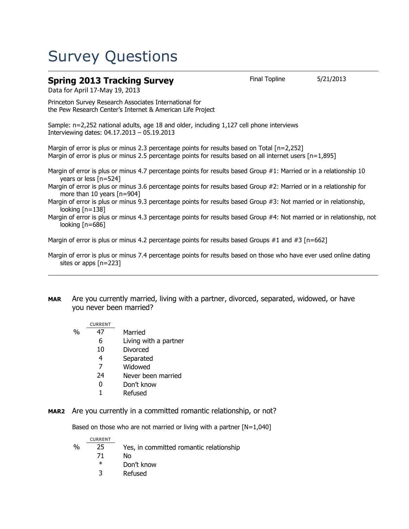# Survey Questions

### **Spring 2013 Tracking Survey** Final Topline 5/21/2013

Data for April 17-May 19, 2013

Princeton Survey Research Associates International for the Pew Research Center's Internet & American Life Project

Sample: n=2,252 national adults, age 18 and older, including 1,127 cell phone interviews Interviewing dates: 04.17.2013 – 05.19.2013

Margin of error is plus or minus 2.3 percentage points for results based on Total [n=2,252] Margin of error is plus or minus 2.5 percentage points for results based on all internet users [n=1,895]

Margin of error is plus or minus 4.7 percentage points for results based Group #1: Married or in a relationship 10 years or less [n=524]

Margin of error is plus or minus 3.6 percentage points for results based Group #2: Married or in a relationship for more than 10 years [n=904]

Margin of error is plus or minus 9.3 percentage points for results based Group #3: Not married or in relationship, looking [n=138]

Margin of error is plus or minus 4.3 percentage points for results based Group #4: Not married or in relationship, not looking [n=686]

Margin of error is plus or minus 4.2 percentage points for results based Groups #1 and #3  $[n=662]$ 

Margin of error is plus or minus 7.4 percentage points for results based on those who have ever used online dating sites or apps [n=223]

**MAR** Are you currently married, living with a partner, divorced, separated, widowed, or have you never been married?

|      | <b>CURRENT</b> |                       |
|------|----------------|-----------------------|
| $\%$ | 47             | Married               |
|      | 6              | Living with a partner |
|      | 10             | Divorced              |
|      | 4              | Separated             |
|      | 7              | Widowed               |
|      | 24             | Never been married    |
|      |                |                       |

- 0 Don't know
- 1 Refused
- **MAR2** Are you currently in a committed romantic relationship, or not?

Based on those who are not married or living with a partner  $[N=1,040]$ 

|      | <b>CURRENT</b> |                                         |
|------|----------------|-----------------------------------------|
| $\%$ | 25             | Yes, in committed romantic relationship |
|      | 71             | N٥                                      |
|      | $\ast$         | Don't know                              |
|      | 3              | Refused                                 |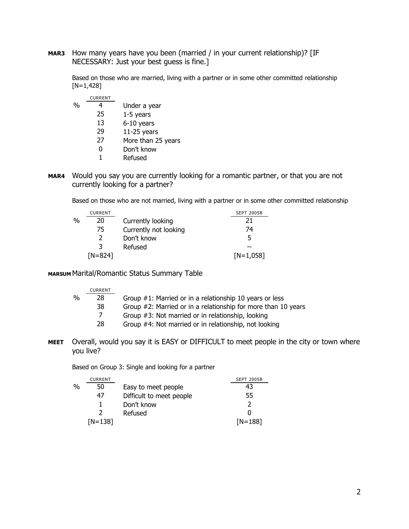**MAR3** How many years have you been (married / in your current relationship)? [IF NECESSARY: Just your best guess is fine.]

Based on those who are married, living with a partner or in some other committed relationship  $[N=1,428]$ 

|               | <b>CURRENT</b> |                    |
|---------------|----------------|--------------------|
| $\frac{0}{0}$ |                | Under a year       |
|               | 25             | $1-5$ years        |
|               | 13             | 6-10 years         |
|               | 29             | $11-25$ years      |
|               | 27             | More than 25 years |
|               | U              | Don't know         |
|               |                | Refused            |

**MAR4** Would you say you are currently looking for a romantic partner, or that you are not currently looking for a partner?

Based on those who are not married, living with a partner or in some other committed relationship

|   | <b>CURRENT</b> |                       | <b>SEPT 2005B</b> |
|---|----------------|-----------------------|-------------------|
| % | 20             | Currently looking     |                   |
|   | 75             | Currently not looking | 74                |
|   |                | Don't know            | 5                 |
|   | ર              | Refused               |                   |
|   | $[N=824]$      |                       | $[N=1,058]$       |

#### **MARSUM** Marital/Romantic Status Summary Table

|   | <b>CURRENT</b> |                                                               |
|---|----------------|---------------------------------------------------------------|
| % | 28             | Group #1: Married or in a relationship 10 years or less       |
|   | 38             | Group #2: Married or in a relationship for more than 10 years |
|   | 7              | Group #3: Not married or in relationship, looking             |
|   | 28             | Group #4: Not married or in relationship, not looking         |
|   |                |                                                               |

**MEET** Overall, would you say it is EASY or DIFFICULT to meet people in the city or town where you live?

Based on Group 3: Single and looking for a partner

|   | <b>CURRENT</b> |                          | <b>SEPT 2005B</b> |
|---|----------------|--------------------------|-------------------|
| % | 50             | Easy to meet people      | 43                |
|   | 47             | Difficult to meet people | 55                |
|   |                | Don't know               |                   |
|   |                | Refused                  | O                 |
|   | $[N=138]$      |                          | $[N=188]$         |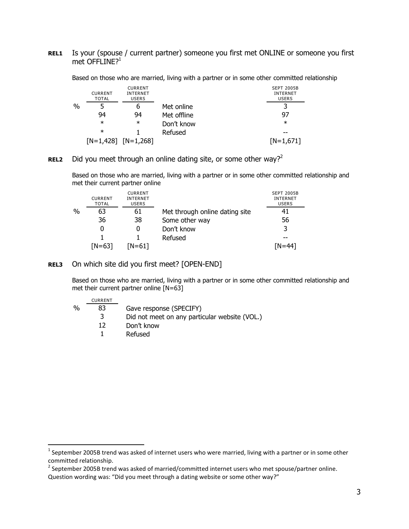#### **REL1** Is your (spouse / current partner) someone you first met ONLINE or someone you first met OFFLINE?<sup>1</sup>

Based on those who are married, living with a partner or in some other committed relationship

|               | <b>CURRENT</b><br><b>TOTAL</b> | <b>CURRENT</b><br><b>INTERNET</b><br><b>USERS</b> |             | <b>SEPT 2005B</b><br>INTERNET<br><b>USERS</b> |
|---------------|--------------------------------|---------------------------------------------------|-------------|-----------------------------------------------|
| $\frac{0}{0}$ |                                | b                                                 | Met online  | 3                                             |
|               | 94                             | 94                                                | Met offline | 97                                            |
|               | $\ast$                         | $\ast$                                            | Don't know  | $\ast$                                        |
|               | $\ast$                         |                                                   | Refused     | --                                            |
|               |                                | $[N=1,428]$ $[N=1,268]$                           |             | $[N=1,671]$                                   |

#### **REL2** Did you meet through an online dating site, or some other way?<sup>2</sup>

Based on those who are married, living with a partner or in some other committed relationship and met their current partner online

|   | <b>CURRENT</b><br><b>TOTAL</b> | <b>CURRENT</b><br><b>INTERNET</b><br><b>USERS</b> |                                | <b>SEPT 2005B</b><br><b>INTERNET</b><br><b>USERS</b> |
|---|--------------------------------|---------------------------------------------------|--------------------------------|------------------------------------------------------|
| % | 63                             | 61                                                | Met through online dating site | 41                                                   |
|   | 36                             | 38                                                | Some other way                 | 56                                                   |
|   |                                | 0                                                 | Don't know                     | 3                                                    |
|   |                                |                                                   | Refused                        |                                                      |
|   | $[N=63]$                       | N=61]                                             |                                | $IN = 441$                                           |

#### **REL3** On which site did you first meet? [OPEN-END]

 $\overline{a}$ 

Based on those who are married, living with a partner or in some other committed relationship and met their current partner online [N=63]

|               | <b>CURRENT</b> |                                               |
|---------------|----------------|-----------------------------------------------|
| $\frac{0}{0}$ | 83             | Gave response (SPECIFY)                       |
|               |                | Did not meet on any particular website (VOL.) |
|               | 12             | Don't know                                    |
|               |                | Refused                                       |

 $^1$  September 2005B trend was asked of internet users who were married, living with a partner or in some other committed relationship.

 $^{2}$  September 2005B trend was asked of married/committed internet users who met spouse/partner online. Question wording was: "Did you meet through a dating website or some other way?"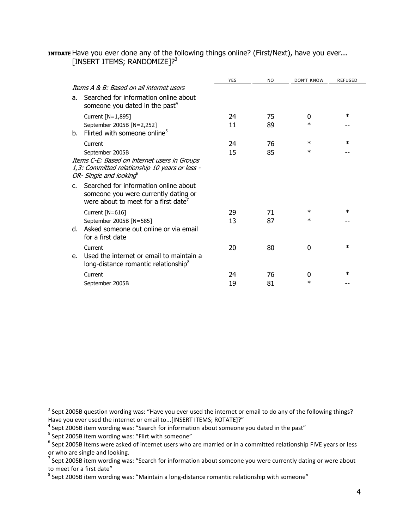| INTIDATE Have you ever done any of the following things online? (First/Next), have you ever |  |  |  |
|---------------------------------------------------------------------------------------------|--|--|--|
| [INSERT ITEMS; RANDOMIZE]? <sup>3</sup>                                                     |  |  |  |

|              |                                                                                                                                       | <b>YES</b> | <b>NO</b> | <b>DON'T KNOW</b> | <b>REFUSED</b> |
|--------------|---------------------------------------------------------------------------------------------------------------------------------------|------------|-----------|-------------------|----------------|
|              | Thems A & B: Based on all internet users                                                                                              |            |           |                   |                |
| a.           | Searched for information online about<br>someone you dated in the past <sup>4</sup>                                                   |            |           |                   |                |
|              | Current [N=1,895]                                                                                                                     | 24         | 75        | 0                 | $\ast$         |
| b.           | September 2005B [N=2,252]<br>Flirted with someone online <sup>5</sup>                                                                 | 11         | 89        | $\ast$            |                |
|              | Current                                                                                                                               | 24         | 76        | $\ast$            | $\ast$         |
|              | September 2005B                                                                                                                       | 15         | 85        | $\ast$            |                |
|              | Items C-E: Based on internet users in Groups<br>1,3: Committed relationship 10 years or less -<br>OR- Single and looking <sup>6</sup> |            |           |                   |                |
| $C_{\rm{f}}$ | Searched for information online about<br>someone you were currently dating or<br>were about to meet for a first date <sup>7</sup>     |            |           |                   |                |
|              | Current [N=616]                                                                                                                       | 29         | 71        | $\ast$            | $\ast$         |
|              | September 2005B [N=585]<br>d. Asked someone out online or via email<br>for a first date                                               | 13         | 87        | $\ast$            |                |
|              | Current                                                                                                                               | 20         | 80        | $\Omega$          | $\ast$         |
| $e_{1}$      | Used the internet or email to maintain a<br>long-distance romantic relationship <sup>8</sup>                                          |            |           |                   |                |
|              | Current                                                                                                                               | 24         | 76        | 0                 | $\ast$         |
|              | September 2005B                                                                                                                       | 19         | 81        | $\ast$            |                |

 $\overline{\phantom{a}}$ 

 $3$  Sept 2005B question wording was: "Have you ever used the internet or email to do any of the following things? Have you ever used the internet or email to...[INSERT ITEMS; ROTATE]?"

 $^4$  Sept 2005B item wording was: "Search for information about someone you dated in the past"

<sup>&</sup>lt;sup>5</sup> Sept 2005B item wording was: "Flirt with someone"

 $^6$  Sept 2005B items were asked of internet users who are married or in a committed relationship FIVE years or less or who are single and looking.

 $^7$  Sept 2005B item wording was: "Search for information about someone you were currently dating or were about to meet for a first date"

 $^8$  Sept 2005B item wording was: "Maintain a long-distance romantic relationship with someone"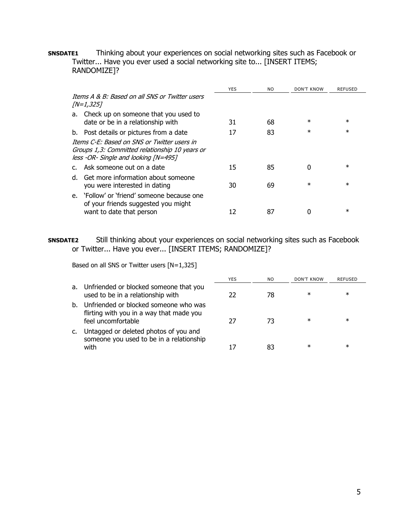**SNSDATE1** Thinking about your experiences on social networking sites such as Facebook or Twitter... Have you ever used a social networking site to... [INSERT ITEMS; RANDOMIZE]?

|                                                                                                                                       | <b>YES</b> | N <sub>O</sub> | DON'T KNOW | <b>REFUSED</b> |
|---------------------------------------------------------------------------------------------------------------------------------------|------------|----------------|------------|----------------|
| Thems A & B: Based on all SNS or Twitter users<br><i>[N=1,325]</i>                                                                    |            |                |            |                |
| Check up on someone that you used to<br>a.                                                                                            |            |                |            |                |
| date or be in a relationship with                                                                                                     | 31         | 68             | $\ast$     | $\ast$         |
| b. Post details or pictures from a date                                                                                               | 17         | 83             | $\ast$     | $\ast$         |
| Thems C-F: Based on SNS or Twitter users in<br>Groups 1,3: Committed relationship 10 years or<br>less -OR- Single and looking [N=495] |            |                |            |                |
| c. Ask someone out on a date                                                                                                          | 15         | 85             | 0          | $\ast$         |
| Get more information about someone<br>d.<br>you were interested in dating                                                             | 30         | 69             | $\ast$     | $\ast$         |
| e. 'Follow' or 'friend' someone because one<br>of your friends suggested you might<br>want to date that person                        |            | 87             |            | $\ast$         |

**SNSDATE2** Still thinking about your experiences on social networking sites such as Facebook or Twitter... Have you ever... [INSERT ITEMS; RANDOMIZE]?

Based on all SNS or Twitter users [N=1,325]

|    |                                                                                                         | <b>YES</b> | NO. | DON'T KNOW | REFUSED |  |
|----|---------------------------------------------------------------------------------------------------------|------------|-----|------------|---------|--|
|    | a. Unfriended or blocked someone that you<br>used to be in a relationship with                          | 22         | 78  | ∗          | $\ast$  |  |
| b. | Unfriended or blocked someone who was<br>flirting with you in a way that made you<br>feel uncomfortable | 27         | 73  | ∗          | $\ast$  |  |
| c. | Untagged or deleted photos of you and<br>someone you used to be in a relationship<br>with               |            | 83  | ∗          | $\ast$  |  |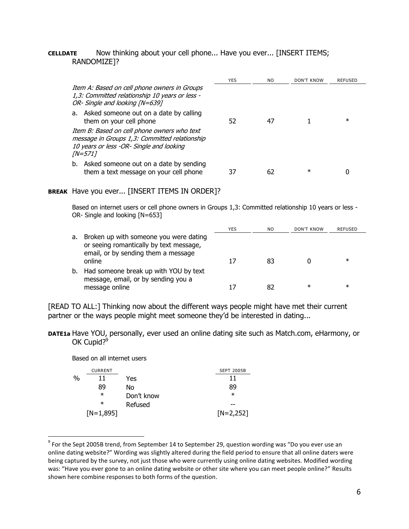#### **CELLDATE** Now thinking about your cell phone... Have you ever... [INSERT ITEMS; RANDOMIZE]?

|                                                                                                                                                            | YES | NO. | DON'T KNOW | REFUSED |
|------------------------------------------------------------------------------------------------------------------------------------------------------------|-----|-----|------------|---------|
| Item A: Based on cell phone owners in Groups<br>1,3: Committed relationship 10 years or less -<br>OR- Single and looking [N=639]                           |     |     |            |         |
| a. Asked someone out on a date by calling<br>them on your cell phone                                                                                       | 52  | 47  |            | $\ast$  |
| Item B: Based on cell phone owners who text<br>message in Groups 1,3: Committed relationship<br>10 years or less -OR- Single and looking<br><i>[N=571]</i> |     |     |            |         |
| Asked someone out on a date by sending<br>b.<br>them a text message on your cell phone                                                                     |     | 62  | ∗          |         |

#### **BREAK** Have you ever... [INSERT ITEMS IN ORDER]?

Based on internet users or cell phone owners in Groups 1,3: Committed relationship 10 years or less -OR- Single and looking [N=653]

|    |                                                                                                                                    | YES | NO | DON'T KNOW | REFUSED |
|----|------------------------------------------------------------------------------------------------------------------------------------|-----|----|------------|---------|
| а. | Broken up with someone you were dating<br>or seeing romantically by text message,<br>email, or by sending them a message<br>online |     | 83 |            | ж       |
| b. | Had someone break up with YOU by text<br>message, email, or by sending you a                                                       |     |    |            |         |
|    | message online                                                                                                                     |     |    | ж          | ж       |

[READ TO ALL:] Thinking now about the different ways people might have met their current partner or the ways people might meet someone they'd be interested in dating...

**DATE1a** Have YOU, personally, ever used an online dating site such as Match.com, eHarmony, or OK Cupid?<sup>9</sup>

Based on all internet users

|   | <b>CURRENT</b> |            | <b>SEPT 2005B</b> |
|---|----------------|------------|-------------------|
| % | ו ו            | Yes        | 11                |
|   | 89             | No         | 89                |
|   | $\ast$         | Don't know | $\ast$            |
|   | $\ast$         | Refused    |                   |
|   | $[N=1,895]$    |            | $[N=2,252]$       |

 $^9$  For the Sept 2005B trend, from September 14 to September 29, question wording was "Do you ever use an online dating website?" Wording was slightly altered during the field period to ensure that all online daters were being captured by the survey, not just those who were currently using online dating websites. Modified wording was: "Have you ever gone to an online dating website or other site where you can meet people online?" Results shown here combine responses to both forms of the question.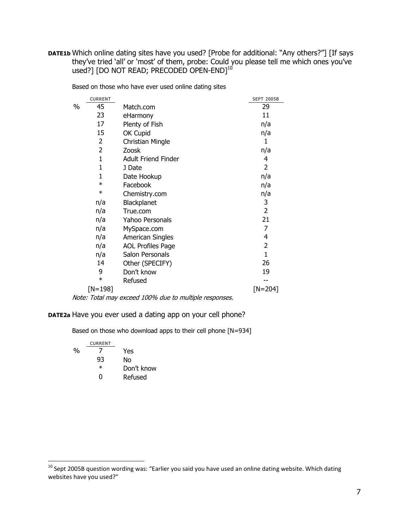**DATE1b** Which online dating sites have you used? [Probe for additional: "Any others?"] [If says they've tried 'all' or 'most' of them, probe: Could you please tell me which ones you've used?] [DO NOT READ; PRECODED OPEN-END] $^{\rm 10}$ 

| Based on those who have ever used online dating sites |  |  |  |  |  |  |  |  |  |  |
|-------------------------------------------------------|--|--|--|--|--|--|--|--|--|--|
|-------------------------------------------------------|--|--|--|--|--|--|--|--|--|--|

|   | <b>CURRENT</b> |                            | <b>SEPT 2005B</b> |
|---|----------------|----------------------------|-------------------|
| % | 45             | Match.com                  | 29                |
|   | 23             | eHarmony                   | 11                |
|   | 17             | Plenty of Fish             | n/a               |
|   | 15             | OK Cupid                   | n/a               |
|   | 2              | <b>Christian Mingle</b>    | 1                 |
|   | 2              | Zoosk                      | n/a               |
|   | 1              | <b>Adult Friend Finder</b> | 4                 |
|   | 1              | J Date                     | 2                 |
|   | 1              | Date Hookup                | n/a               |
|   | $\ast$         | Facebook                   | n/a               |
|   | $\ast$         | Chemistry.com              | n/a               |
|   | n/a            | Blackplanet                | 3                 |
|   | n/a            | True.com                   | $\overline{2}$    |
|   | n/a            | Yahoo Personals            | 21                |
|   | n/a            | MySpace.com                | 7                 |
|   | n/a            | <b>American Singles</b>    | 4                 |
|   | n/a            | <b>AOL Profiles Page</b>   | 2                 |
|   | n/a            | Salon Personals            | $\overline{1}$    |
|   | 14             | Other (SPECIFY)            | 26                |
|   | 9              | Don't know                 | 19                |
|   | $\ast$         | Refused                    |                   |
|   | $[N=198]$      |                            | $[N=204]$         |

Note: Total may exceed 100% due to multiple responses.

#### **DATE2a** Have you ever used a dating app on your cell phone?

Based on those who download apps to their cell phone [N=934]

| CURRENT |            |
|---------|------------|
|         | Yes        |
| 93      | No         |
| $^\ast$ | Don't know |
| n       | Refused    |
|         |            |

 $^{10}$  Sept 2005B question wording was: "Earlier you said you have used an online dating website. Which dating websites have you used?"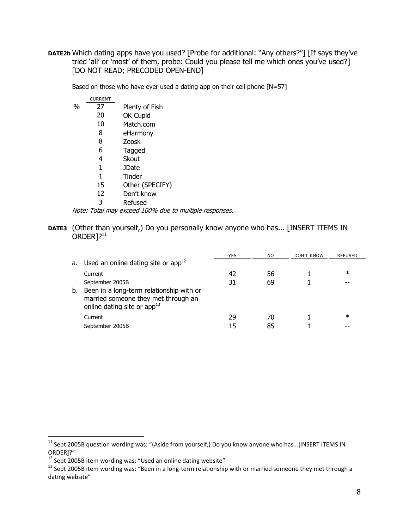**DATE2b** Which dating apps have you used? [Probe for additional: "Any others?"] [If says they've tried 'all' or 'most' of them, probe: Could you please tell me which ones you've used?] [DO NOT READ; PRECODED OPEN-END]

Based on those who have ever used a dating app on their cell phone [N=57]

|   | <b>CURRENT</b> |                 |
|---|----------------|-----------------|
| % | 27             | Plenty of Fish  |
|   | 20             | OK Cupid        |
|   | 10             | Match.com       |
|   | 8              | eHarmony        |
|   | 8              | Zoosk           |
|   | 6              | Tagged          |
|   | 4              | Skout           |
|   | 1              | <b>JDate</b>    |
|   | 1              | Tinder          |
|   | 15             | Other (SPECIFY) |
|   | 12             | Don't know      |
|   | 3              | Refused         |

Note: Total may exceed 100% due to multiple responses.

**DATE3** (Other than yourself,) Do you personally know anyone who has... [INSERT ITEMS IN  $ORDER$ <sup>11</sup>

|    |                                                                                                                  | <b>YES</b> | NO. | DON'T KNOW | <b>REFUSED</b> |
|----|------------------------------------------------------------------------------------------------------------------|------------|-----|------------|----------------|
| а. | Used an online dating site or app $^{12}$                                                                        |            |     |            |                |
|    | Current                                                                                                          | -42        | 56  |            | ∗              |
|    | September 2005B                                                                                                  | 31         | 69  |            |                |
| b. | Been in a long-term relationship with or<br>married someone they met through an<br>online dating site or $app13$ |            |     |            |                |
|    | Current                                                                                                          | 29         | 70  |            | ∗              |
|    | September 2005B                                                                                                  |            | 85  |            |                |

<sup>&</sup>lt;sup>11</sup> Sept 2005B question wording was: "(Aside from yourself,) Do you know anyone who has...[INSERT ITEMS IN ORDER]?"

<sup>12</sup> Sept 2005B item wording was: "Used an online dating website"

 $13$  Sept 2005B item wording was: "Been in a long-term relationship with or married someone they met through a dating website"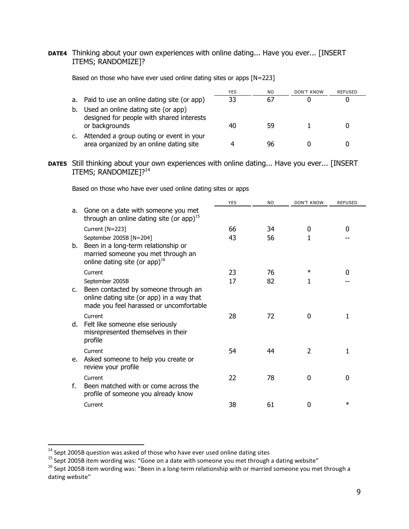**DATE4** Thinking about your own experiences with online dating... Have you ever... [INSERT ITEMS; RANDOMIZE]?

Based on those who have ever used online dating sites or apps [N=223]

|    |                                                                                     | YES | NO | DON'T KNOW | REFUSED |
|----|-------------------------------------------------------------------------------------|-----|----|------------|---------|
|    | a. Paid to use an online dating site (or app)                                       | 33  | 67 |            |         |
| b. | Used an online dating site (or app)<br>designed for people with shared interests    |     |    |            |         |
|    | or backgrounds                                                                      |     | 59 |            |         |
|    | Attended a group outing or event in your<br>area organized by an online dating site |     | 96 |            |         |

**DATE5** Still thinking about your own experiences with online dating... Have you ever... [INSERT ITEMS; RANDOMIZE]?<sup>14</sup>

Based on those who have ever used online dating sites or apps

|    |                                                                                                                                                 | <b>YES</b> | N <sub>O</sub> | <b>DON'T KNOW</b> | <b>REFUSED</b> |
|----|-------------------------------------------------------------------------------------------------------------------------------------------------|------------|----------------|-------------------|----------------|
| a. | Gone on a date with someone you met<br>through an online dating site (or app) <sup>15</sup>                                                     |            |                |                   |                |
|    | Current [N=223]                                                                                                                                 | 66         | 34             | 0                 | 0              |
| b. | September 2005B [N=204]<br>Been in a long-term relationship or<br>married someone you met through an<br>online dating site (or app) $^{16}$     | 43         | 56             |                   |                |
|    | Current                                                                                                                                         | 23         | 76             | $\ast$            | O              |
| C. | September 2005B<br>Been contacted by someone through an<br>online dating site (or app) in a way that<br>made you feel harassed or uncomfortable | 17         | 82             | 1                 |                |
| d. | Current<br>Felt like someone else seriously<br>misrepresented themselves in their<br>profile                                                    | 28         | 72             | 0                 |                |
| e. | Current<br>Asked someone to help you create or<br>review your profile                                                                           | 54         | 44             | $\overline{2}$    |                |
| f. | Current<br>Been matched with or come across the<br>profile of someone you already know                                                          | 22         | 78             | 0                 | 0              |
|    | Current                                                                                                                                         | 38         | 61             | 0                 | $\ast$         |

 $\overline{a}$ 

 $^{14}$  Sept 2005B question was asked of those who have ever used online dating sites

 $^{15}$  Sept 2005B item wording was: "Gone on a date with someone you met through a dating website"

<sup>&</sup>lt;sup>16</sup> Sept 2005B item wording was: "Been in a long-term relationship with or married someone you met through a dating website"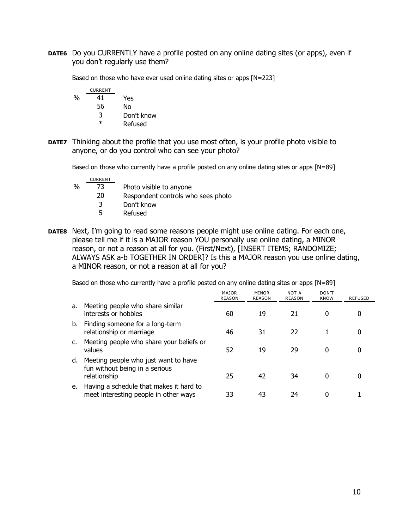**DATE6** Do you CURRENTLY have a profile posted on any online dating sites (or apps), even if you don't regularly use them?

Based on those who have ever used online dating sites or apps [N=223]

|   | <b>CURRENT</b> |            |
|---|----------------|------------|
| % | 41             | Yes        |
|   | 56             | No         |
|   | 3              | Don't know |
|   | ж              | Refused    |

**DATE7** Thinking about the profile that you use most often, is your profile photo visible to anyone, or do you control who can see your photo?

Based on those who currently have a profile posted on any online dating sites or apps [N=89]

|   | <b>CURRENT</b> |                                    |
|---|----------------|------------------------------------|
| % | 73             | Photo visible to anyone            |
|   | 20             | Respondent controls who sees photo |
|   | 3              | Don't know                         |
|   | 5              | Refused                            |
|   |                |                                    |

**DATE8** Next, I'm going to read some reasons people might use online dating. For each one, please tell me if it is a MAJOR reason YOU personally use online dating, a MINOR reason, or not a reason at all for you. (First/Next), [INSERT ITEMS; RANDOMIZE; ALWAYS ASK a-b TOGETHER IN ORDER]? Is this a MAJOR reason you use online dating, a MINOR reason, or not a reason at all for you?

Based on those who currently have a profile posted on any online dating sites or apps [N=89]

|    |                                                                                        | <b>MAJOR</b><br><b>REASON</b> | MINOR<br><b>REASON</b> | NOT A<br><b>REASON</b> | DON'T<br><b>KNOW</b> | <b>REFUSED</b> |
|----|----------------------------------------------------------------------------------------|-------------------------------|------------------------|------------------------|----------------------|----------------|
| a. | Meeting people who share similar<br>interests or hobbies                               | 60                            | 19                     | 21                     | 0                    |                |
| b. | Finding someone for a long-term<br>relationship or marriage                            | 46                            | 31                     | 22                     |                      |                |
| c. | Meeting people who share your beliefs or<br>values                                     | 52                            | 19                     | 29                     | 0                    | 0              |
| d. | Meeting people who just want to have<br>fun without being in a serious<br>relationship | 25                            | 42                     | 34                     | 0                    |                |
| е. | Having a schedule that makes it hard to<br>meet interesting people in other ways       | 33                            | 43                     | 24                     |                      |                |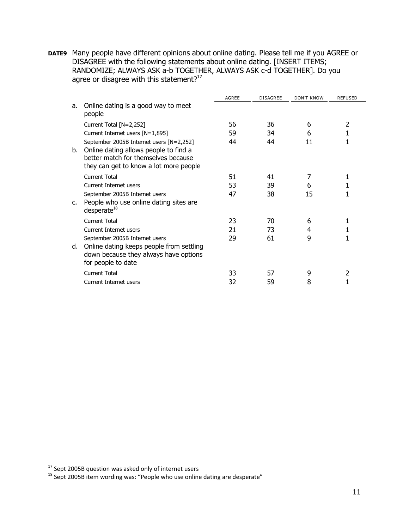**DATE9** Many people have different opinions about online dating. Please tell me if you AGREE or DISAGREE with the following statements about online dating. [INSERT ITEMS; RANDOMIZE; ALWAYS ASK a-b TOGETHER, ALWAYS ASK c-d TOGETHER]. Do you agree or disagree with this statement?<sup>17</sup>

|    |                                                                                                                                                                    | AGREE | <b>DISAGREE</b> | <b>DON'T KNOW</b> | <b>REFUSED</b> |
|----|--------------------------------------------------------------------------------------------------------------------------------------------------------------------|-------|-----------------|-------------------|----------------|
| а. | Online dating is a good way to meet<br>people                                                                                                                      |       |                 |                   |                |
|    | Current Total [N=2,252]                                                                                                                                            | 56    | 36              | 6                 | 2              |
|    | Current Internet users [N=1,895]                                                                                                                                   | 59    | 34              | 6                 |                |
| b. | September 2005B Internet users [N=2,252]<br>Online dating allows people to find a<br>better match for themselves because<br>they can get to know a lot more people | 44    | 44              | 11                |                |
|    | Current Total                                                                                                                                                      | 51    | 41              | 7                 |                |
|    | Current Internet users                                                                                                                                             | 53    | 39              | 6                 |                |
| C. | September 2005B Internet users<br>People who use online dating sites are<br>desperate <sup>18</sup>                                                                | 47    | 38              | 15                |                |
|    | Current Total                                                                                                                                                      | 23    | 70              | 6                 |                |
|    | Current Internet users                                                                                                                                             | 21    | 73              | 4                 |                |
| d. | September 2005B Internet users<br>Online dating keeps people from settling<br>down because they always have options<br>for people to date                          | 29    | 61              | 9                 |                |
|    | <b>Current Total</b>                                                                                                                                               | 33    | 57              | 9                 | $\mathcal{P}$  |
|    | Current Internet users                                                                                                                                             | 32    | 59              | 8                 |                |

 $^{17}$  Sept 2005B question was asked only of internet users

 $^{18}$  Sept 2005B item wording was: "People who use online dating are desperate"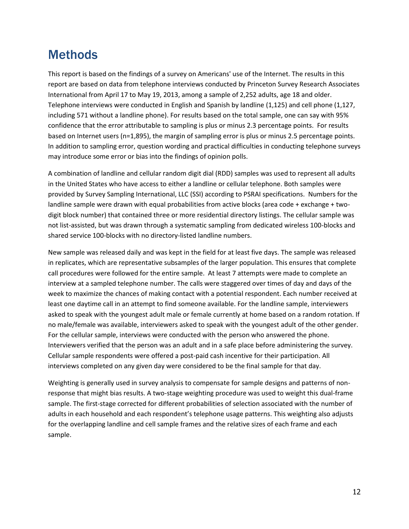## **Methods**

This report is based on the findings of a survey on Americans' use of the Internet. The results in this report are based on data from telephone interviews conducted by Princeton Survey Research Associates International from April 17 to May 19, 2013, among a sample of 2,252 adults, age 18 and older. Telephone interviews were conducted in English and Spanish by landline (1,125) and cell phone (1,127, including 571 without a landline phone). For results based on the total sample, one can say with 95% confidence that the error attributable to sampling is plus or minus 2.3 percentage points. For results based on Internet users (n=1,895), the margin of sampling error is plus or minus 2.5 percentage points. In addition to sampling error, question wording and practical difficulties in conducting telephone surveys may introduce some error or bias into the findings of opinion polls.

A combination of landline and cellular random digit dial (RDD) samples was used to represent all adults in the United States who have access to either a landline or cellular telephone. Both samples were provided by Survey Sampling International, LLC (SSI) according to PSRAI specifications. Numbers for the landline sample were drawn with equal probabilities from active blocks (area code + exchange + twodigit block number) that contained three or more residential directory listings. The cellular sample was not list-assisted, but was drawn through a systematic sampling from dedicated wireless 100-blocks and shared service 100-blocks with no directory-listed landline numbers.

New sample was released daily and was kept in the field for at least five days. The sample was released in replicates, which are representative subsamples of the larger population. This ensures that complete call procedures were followed for the entire sample. At least 7 attempts were made to complete an interview at a sampled telephone number. The calls were staggered over times of day and days of the week to maximize the chances of making contact with a potential respondent. Each number received at least one daytime call in an attempt to find someone available. For the landline sample, interviewers asked to speak with the youngest adult male or female currently at home based on a random rotation. If no male/female was available, interviewers asked to speak with the youngest adult of the other gender. For the cellular sample, interviews were conducted with the person who answered the phone. Interviewers verified that the person was an adult and in a safe place before administering the survey. Cellular sample respondents were offered a post-paid cash incentive for their participation. All interviews completed on any given day were considered to be the final sample for that day.

Weighting is generally used in survey analysis to compensate for sample designs and patterns of nonresponse that might bias results. A two-stage weighting procedure was used to weight this dual-frame sample. The first-stage corrected for different probabilities of selection associated with the number of adults in each household and each respondent's telephone usage patterns. This weighting also adjusts for the overlapping landline and cell sample frames and the relative sizes of each frame and each sample.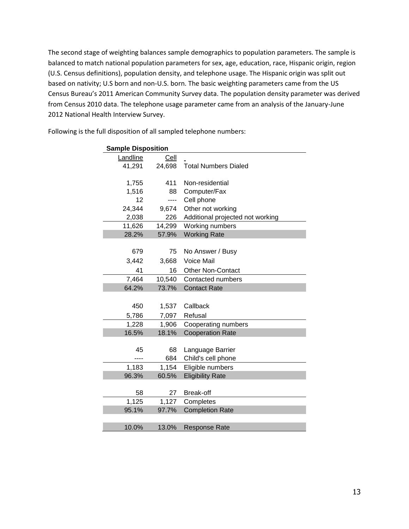The second stage of weighting balances sample demographics to population parameters. The sample is balanced to match national population parameters for sex, age, education, race, Hispanic origin, region (U.S. Census definitions), population density, and telephone usage. The Hispanic origin was split out based on nativity; U.S born and non-U.S. born. The basic weighting parameters came from the US Census Bureau's 2011 American Community Survey data. The population density parameter was derived from Census 2010 data. The telephone usage parameter came from an analysis of the January-June 2012 National Health Interview Survey.

| <b>Sample Disposition</b> |        |                                  |  |  |
|---------------------------|--------|----------------------------------|--|--|
| Landline                  | Cell   |                                  |  |  |
| 41,291                    | 24,698 | <b>Total Numbers Dialed</b>      |  |  |
|                           |        |                                  |  |  |
| 1,755                     | 411    | Non-residential                  |  |  |
| 1,516                     | 88     | Computer/Fax                     |  |  |
| 12                        | ----   | Cell phone                       |  |  |
| 24,344                    | 9,674  | Other not working                |  |  |
| 2,038                     | 226    | Additional projected not working |  |  |
| 11,626                    | 14,299 | Working numbers                  |  |  |
| 28.2%                     | 57.9%  | <b>Working Rate</b>              |  |  |
|                           |        |                                  |  |  |
| 679                       | 75     | No Answer / Busy                 |  |  |
| 3,442                     | 3,668  | Voice Mail                       |  |  |
| 41                        | 16     | <b>Other Non-Contact</b>         |  |  |
| 7,464                     | 10,540 | Contacted numbers                |  |  |
| 64.2%                     | 73.7%  | <b>Contact Rate</b>              |  |  |
|                           |        |                                  |  |  |
| 450                       | 1,537  | Callback                         |  |  |
| 5,786                     | 7,097  | Refusal                          |  |  |
| 1,228                     | 1,906  | Cooperating numbers              |  |  |
| 16.5%                     | 18.1%  | <b>Cooperation Rate</b>          |  |  |
|                           |        |                                  |  |  |
| 45                        | 68     | Language Barrier                 |  |  |
| ----                      | 684    | Child's cell phone               |  |  |
| 1,183                     | 1,154  | Eligible numbers                 |  |  |
| 96.3%                     | 60.5%  | <b>Eligibility Rate</b>          |  |  |
|                           |        |                                  |  |  |
| 58                        | 27     | Break-off                        |  |  |
| 1,125                     | 1,127  | Completes                        |  |  |
| 95.1%                     | 97.7%  | <b>Completion Rate</b>           |  |  |
|                           |        |                                  |  |  |
| 10.0%                     | 13.0%  | <b>Response Rate</b>             |  |  |

Following is the full disposition of all sampled telephone numbers: